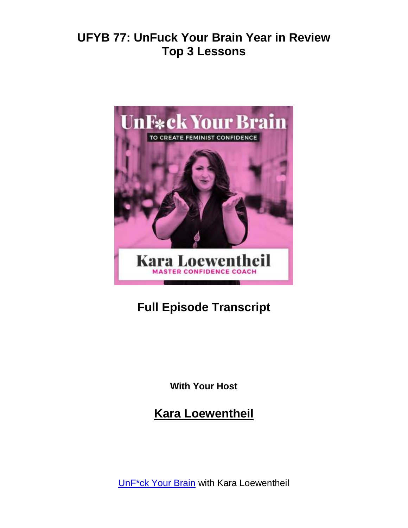

# **Full Episode Transcript**

**With Your Host**

**Kara Loewentheil**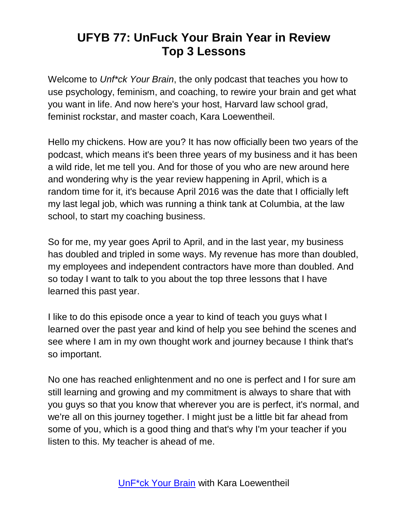Welcome to *Unf\*ck Your Brain*, the only podcast that teaches you how to use psychology, feminism, and coaching, to rewire your brain and get what you want in life. And now here's your host, Harvard law school grad, feminist rockstar, and master coach, Kara Loewentheil.

Hello my chickens. How are you? It has now officially been two years of the podcast, which means it's been three years of my business and it has been a wild ride, let me tell you. And for those of you who are new around here and wondering why is the year review happening in April, which is a random time for it, it's because April 2016 was the date that I officially left my last legal job, which was running a think tank at Columbia, at the law school, to start my coaching business.

So for me, my year goes April to April, and in the last year, my business has doubled and tripled in some ways. My revenue has more than doubled, my employees and independent contractors have more than doubled. And so today I want to talk to you about the top three lessons that I have learned this past year.

I like to do this episode once a year to kind of teach you guys what I learned over the past year and kind of help you see behind the scenes and see where I am in my own thought work and journey because I think that's so important.

No one has reached enlightenment and no one is perfect and I for sure am still learning and growing and my commitment is always to share that with you guys so that you know that wherever you are is perfect, it's normal, and we're all on this journey together. I might just be a little bit far ahead from some of you, which is a good thing and that's why I'm your teacher if you listen to this. My teacher is ahead of me.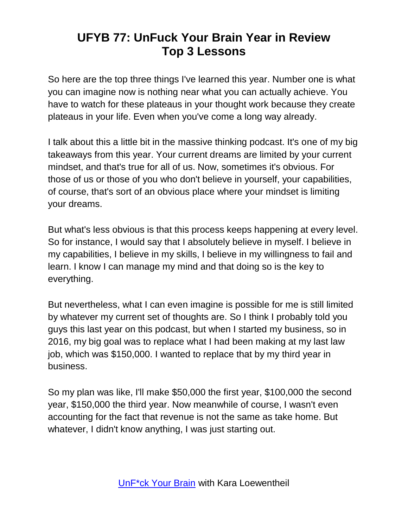So here are the top three things I've learned this year. Number one is what you can imagine now is nothing near what you can actually achieve. You have to watch for these plateaus in your thought work because they create plateaus in your life. Even when you've come a long way already.

I talk about this a little bit in the massive thinking podcast. It's one of my big takeaways from this year. Your current dreams are limited by your current mindset, and that's true for all of us. Now, sometimes it's obvious. For those of us or those of you who don't believe in yourself, your capabilities, of course, that's sort of an obvious place where your mindset is limiting your dreams.

But what's less obvious is that this process keeps happening at every level. So for instance, I would say that I absolutely believe in myself. I believe in my capabilities, I believe in my skills, I believe in my willingness to fail and learn. I know I can manage my mind and that doing so is the key to everything.

But nevertheless, what I can even imagine is possible for me is still limited by whatever my current set of thoughts are. So I think I probably told you guys this last year on this podcast, but when I started my business, so in 2016, my big goal was to replace what I had been making at my last law job, which was \$150,000. I wanted to replace that by my third year in business.

So my plan was like, I'll make \$50,000 the first year, \$100,000 the second year, \$150,000 the third year. Now meanwhile of course, I wasn't even accounting for the fact that revenue is not the same as take home. But whatever, I didn't know anything, I was just starting out.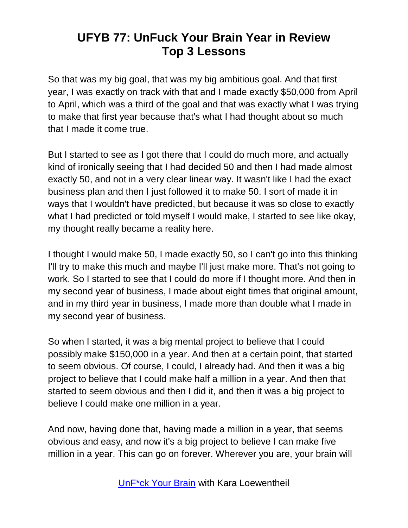So that was my big goal, that was my big ambitious goal. And that first year, I was exactly on track with that and I made exactly \$50,000 from April to April, which was a third of the goal and that was exactly what I was trying to make that first year because that's what I had thought about so much that I made it come true.

But I started to see as I got there that I could do much more, and actually kind of ironically seeing that I had decided 50 and then I had made almost exactly 50, and not in a very clear linear way. It wasn't like I had the exact business plan and then I just followed it to make 50. I sort of made it in ways that I wouldn't have predicted, but because it was so close to exactly what I had predicted or told myself I would make, I started to see like okay, my thought really became a reality here.

I thought I would make 50, I made exactly 50, so I can't go into this thinking I'll try to make this much and maybe I'll just make more. That's not going to work. So I started to see that I could do more if I thought more. And then in my second year of business, I made about eight times that original amount, and in my third year in business, I made more than double what I made in my second year of business.

So when I started, it was a big mental project to believe that I could possibly make \$150,000 in a year. And then at a certain point, that started to seem obvious. Of course, I could, I already had. And then it was a big project to believe that I could make half a million in a year. And then that started to seem obvious and then I did it, and then it was a big project to believe I could make one million in a year.

And now, having done that, having made a million in a year, that seems obvious and easy, and now it's a big project to believe I can make five million in a year. This can go on forever. Wherever you are, your brain will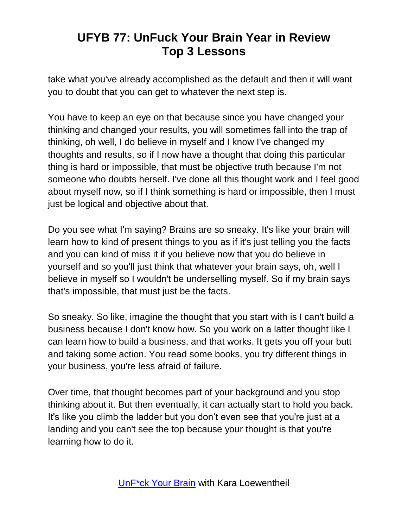take what you've already accomplished as the default and then it will want you to doubt that you can get to whatever the next step is.

You have to keep an eye on that because since you have changed your thinking and changed your results, you will sometimes fall into the trap of thinking, oh well, I do believe in myself and I know I've changed my thoughts and results, so if I now have a thought that doing this particular thing is hard or impossible, that must be objective truth because I'm not someone who doubts herself. I've done all this thought work and I feel good about myself now, so if I think something is hard or impossible, then I must just be logical and objective about that.

Do you see what I'm saying? Brains are so sneaky. It's like your brain will learn how to kind of present things to you as if it's just telling you the facts and you can kind of miss it if you believe now that you do believe in yourself and so you'll just think that whatever your brain says, oh, well I believe in myself so I wouldn't be underselling myself. So if my brain says that's impossible, that must just be the facts.

So sneaky. So like, imagine the thought that you start with is I can't build a business because I don't know how. So you work on a latter thought like I can learn how to build a business, and that works. It gets you off your butt and taking some action. You read some books, you try different things in your business, you're less afraid of failure.

Over time, that thought becomes part of your background and you stop thinking about it. But then eventually, it can actually start to hold you back. It's like you climb the ladder but you don't even see that you're just at a landing and you can't see the top because your thought is that you're learning how to do it.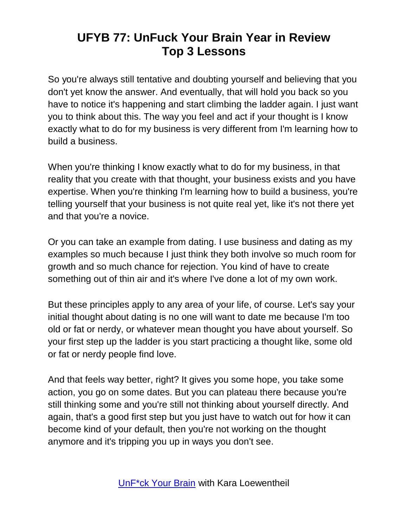So you're always still tentative and doubting yourself and believing that you don't yet know the answer. And eventually, that will hold you back so you have to notice it's happening and start climbing the ladder again. I just want you to think about this. The way you feel and act if your thought is I know exactly what to do for my business is very different from I'm learning how to build a business.

When you're thinking I know exactly what to do for my business, in that reality that you create with that thought, your business exists and you have expertise. When you're thinking I'm learning how to build a business, you're telling yourself that your business is not quite real yet, like it's not there yet and that you're a novice.

Or you can take an example from dating. I use business and dating as my examples so much because I just think they both involve so much room for growth and so much chance for rejection. You kind of have to create something out of thin air and it's where I've done a lot of my own work.

But these principles apply to any area of your life, of course. Let's say your initial thought about dating is no one will want to date me because I'm too old or fat or nerdy, or whatever mean thought you have about yourself. So your first step up the ladder is you start practicing a thought like, some old or fat or nerdy people find love.

And that feels way better, right? It gives you some hope, you take some action, you go on some dates. But you can plateau there because you're still thinking some and you're still not thinking about yourself directly. And again, that's a good first step but you just have to watch out for how it can become kind of your default, then you're not working on the thought anymore and it's tripping you up in ways you don't see.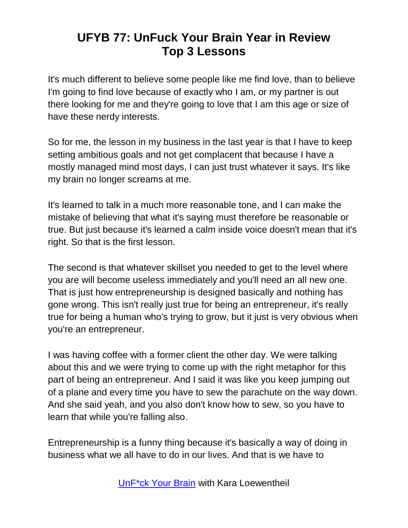It's much different to believe some people like me find love, than to believe I'm going to find love because of exactly who I am, or my partner is out there looking for me and they're going to love that I am this age or size of have these nerdy interests.

So for me, the lesson in my business in the last year is that I have to keep setting ambitious goals and not get complacent that because I have a mostly managed mind most days, I can just trust whatever it says. It's like my brain no longer screams at me.

It's learned to talk in a much more reasonable tone, and I can make the mistake of believing that what it's saying must therefore be reasonable or true. But just because it's learned a calm inside voice doesn't mean that it's right. So that is the first lesson.

The second is that whatever skillset you needed to get to the level where you are will become useless immediately and you'll need an all new one. That is just how entrepreneurship is designed basically and nothing has gone wrong. This isn't really just true for being an entrepreneur, it's really true for being a human who's trying to grow, but it just is very obvious when you're an entrepreneur.

I was having coffee with a former client the other day. We were talking about this and we were trying to come up with the right metaphor for this part of being an entrepreneur. And I said it was like you keep jumping out of a plane and every time you have to sew the parachute on the way down. And she said yeah, and you also don't know how to sew, so you have to learn that while you're falling also.

Entrepreneurship is a funny thing because it's basically a way of doing in business what we all have to do in our lives. And that is we have to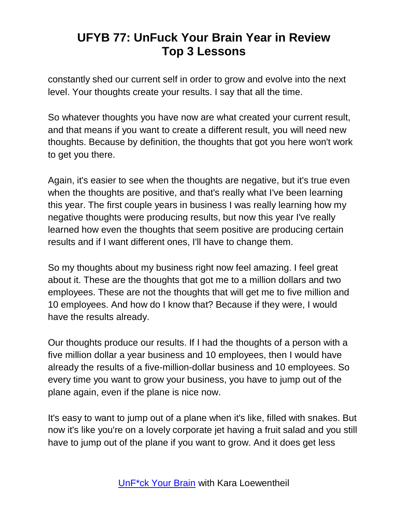constantly shed our current self in order to grow and evolve into the next level. Your thoughts create your results. I say that all the time.

So whatever thoughts you have now are what created your current result, and that means if you want to create a different result, you will need new thoughts. Because by definition, the thoughts that got you here won't work to get you there.

Again, it's easier to see when the thoughts are negative, but it's true even when the thoughts are positive, and that's really what I've been learning this year. The first couple years in business I was really learning how my negative thoughts were producing results, but now this year I've really learned how even the thoughts that seem positive are producing certain results and if I want different ones, I'll have to change them.

So my thoughts about my business right now feel amazing. I feel great about it. These are the thoughts that got me to a million dollars and two employees. These are not the thoughts that will get me to five million and 10 employees. And how do I know that? Because if they were, I would have the results already.

Our thoughts produce our results. If I had the thoughts of a person with a five million dollar a year business and 10 employees, then I would have already the results of a five-million-dollar business and 10 employees. So every time you want to grow your business, you have to jump out of the plane again, even if the plane is nice now.

It's easy to want to jump out of a plane when it's like, filled with snakes. But now it's like you're on a lovely corporate jet having a fruit salad and you still have to jump out of the plane if you want to grow. And it does get less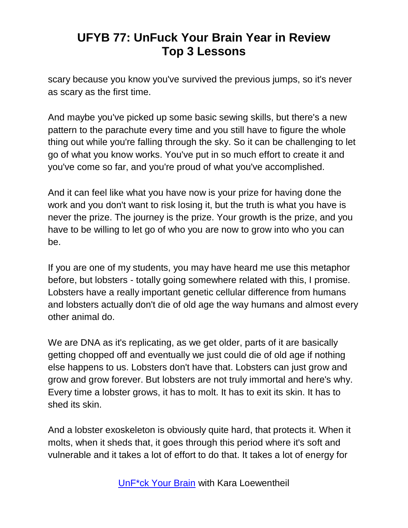scary because you know you've survived the previous jumps, so it's never as scary as the first time.

And maybe you've picked up some basic sewing skills, but there's a new pattern to the parachute every time and you still have to figure the whole thing out while you're falling through the sky. So it can be challenging to let go of what you know works. You've put in so much effort to create it and you've come so far, and you're proud of what you've accomplished.

And it can feel like what you have now is your prize for having done the work and you don't want to risk losing it, but the truth is what you have is never the prize. The journey is the prize. Your growth is the prize, and you have to be willing to let go of who you are now to grow into who you can be.

If you are one of my students, you may have heard me use this metaphor before, but lobsters - totally going somewhere related with this, I promise. Lobsters have a really important genetic cellular difference from humans and lobsters actually don't die of old age the way humans and almost every other animal do.

We are DNA as it's replicating, as we get older, parts of it are basically getting chopped off and eventually we just could die of old age if nothing else happens to us. Lobsters don't have that. Lobsters can just grow and grow and grow forever. But lobsters are not truly immortal and here's why. Every time a lobster grows, it has to molt. It has to exit its skin. It has to shed its skin.

And a lobster exoskeleton is obviously quite hard, that protects it. When it molts, when it sheds that, it goes through this period where it's soft and vulnerable and it takes a lot of effort to do that. It takes a lot of energy for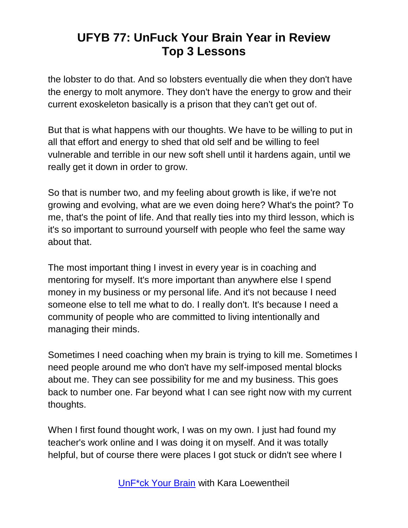the lobster to do that. And so lobsters eventually die when they don't have the energy to molt anymore. They don't have the energy to grow and their current exoskeleton basically is a prison that they can't get out of.

But that is what happens with our thoughts. We have to be willing to put in all that effort and energy to shed that old self and be willing to feel vulnerable and terrible in our new soft shell until it hardens again, until we really get it down in order to grow.

So that is number two, and my feeling about growth is like, if we're not growing and evolving, what are we even doing here? What's the point? To me, that's the point of life. And that really ties into my third lesson, which is it's so important to surround yourself with people who feel the same way about that.

The most important thing I invest in every year is in coaching and mentoring for myself. It's more important than anywhere else I spend money in my business or my personal life. And it's not because I need someone else to tell me what to do. I really don't. It's because I need a community of people who are committed to living intentionally and managing their minds.

Sometimes I need coaching when my brain is trying to kill me. Sometimes I need people around me who don't have my self-imposed mental blocks about me. They can see possibility for me and my business. This goes back to number one. Far beyond what I can see right now with my current thoughts.

When I first found thought work, I was on my own. I just had found my teacher's work online and I was doing it on myself. And it was totally helpful, but of course there were places I got stuck or didn't see where I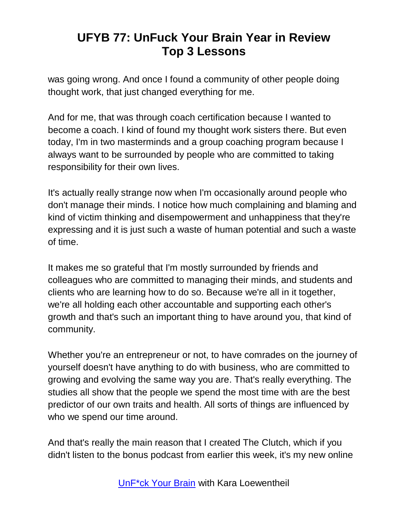was going wrong. And once I found a community of other people doing thought work, that just changed everything for me.

And for me, that was through coach certification because I wanted to become a coach. I kind of found my thought work sisters there. But even today, I'm in two masterminds and a group coaching program because I always want to be surrounded by people who are committed to taking responsibility for their own lives.

It's actually really strange now when I'm occasionally around people who don't manage their minds. I notice how much complaining and blaming and kind of victim thinking and disempowerment and unhappiness that they're expressing and it is just such a waste of human potential and such a waste of time.

It makes me so grateful that I'm mostly surrounded by friends and colleagues who are committed to managing their minds, and students and clients who are learning how to do so. Because we're all in it together, we're all holding each other accountable and supporting each other's growth and that's such an important thing to have around you, that kind of community.

Whether you're an entrepreneur or not, to have comrades on the journey of yourself doesn't have anything to do with business, who are committed to growing and evolving the same way you are. That's really everything. The studies all show that the people we spend the most time with are the best predictor of our own traits and health. All sorts of things are influenced by who we spend our time around.

And that's really the main reason that I created The Clutch, which if you didn't listen to the bonus podcast from earlier this week, it's my new online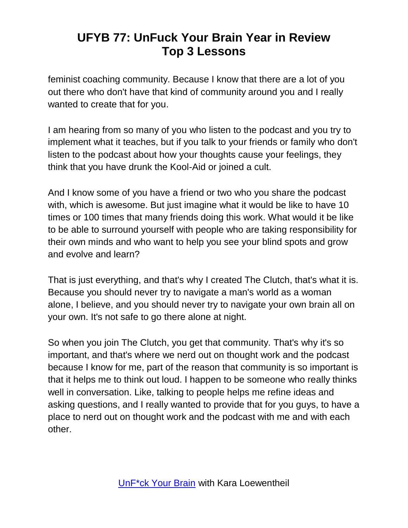feminist coaching community. Because I know that there are a lot of you out there who don't have that kind of community around you and I really wanted to create that for you.

I am hearing from so many of you who listen to the podcast and you try to implement what it teaches, but if you talk to your friends or family who don't listen to the podcast about how your thoughts cause your feelings, they think that you have drunk the Kool-Aid or joined a cult.

And I know some of you have a friend or two who you share the podcast with, which is awesome. But just imagine what it would be like to have 10 times or 100 times that many friends doing this work. What would it be like to be able to surround yourself with people who are taking responsibility for their own minds and who want to help you see your blind spots and grow and evolve and learn?

That is just everything, and that's why I created The Clutch, that's what it is. Because you should never try to navigate a man's world as a woman alone, I believe, and you should never try to navigate your own brain all on your own. It's not safe to go there alone at night.

So when you join The Clutch, you get that community. That's why it's so important, and that's where we nerd out on thought work and the podcast because I know for me, part of the reason that community is so important is that it helps me to think out loud. I happen to be someone who really thinks well in conversation. Like, talking to people helps me refine ideas and asking questions, and I really wanted to provide that for you guys, to have a place to nerd out on thought work and the podcast with me and with each other.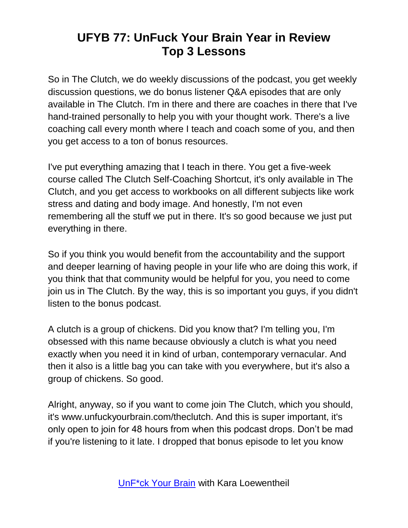So in The Clutch, we do weekly discussions of the podcast, you get weekly discussion questions, we do bonus listener Q&A episodes that are only available in The Clutch. I'm in there and there are coaches in there that I've hand-trained personally to help you with your thought work. There's a live coaching call every month where I teach and coach some of you, and then you get access to a ton of bonus resources.

I've put everything amazing that I teach in there. You get a five-week course called The Clutch Self-Coaching Shortcut, it's only available in The Clutch, and you get access to workbooks on all different subjects like work stress and dating and body image. And honestly, I'm not even remembering all the stuff we put in there. It's so good because we just put everything in there.

So if you think you would benefit from the accountability and the support and deeper learning of having people in your life who are doing this work, if you think that that community would be helpful for you, you need to come join us in The Clutch. By the way, this is so important you guys, if you didn't listen to the bonus podcast.

A clutch is a group of chickens. Did you know that? I'm telling you, I'm obsessed with this name because obviously a clutch is what you need exactly when you need it in kind of urban, contemporary vernacular. And then it also is a little bag you can take with you everywhere, but it's also a group of chickens. So good.

Alright, anyway, so if you want to come join The Clutch, which you should, it's www.unfuckyourbrain.com/theclutch. And this is super important, it's only open to join for 48 hours from when this podcast drops. Don't be mad if you're listening to it late. I dropped that bonus episode to let you know